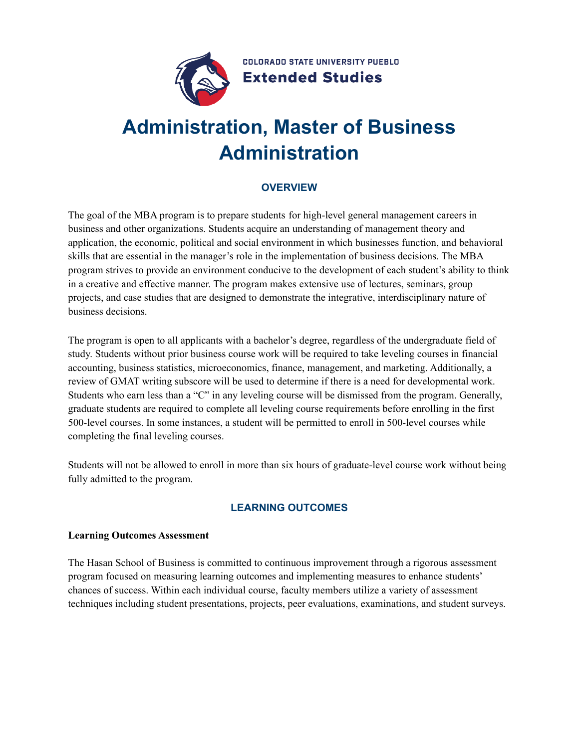

# **Administration, Master of Business Administration**

# **OVERVIEW**

The goal of the MBA program is to prepare students for high-level general management careers in business and other organizations. Students acquire an understanding of management theory and application, the economic, political and social environment in which businesses function, and behavioral skills that are essential in the manager's role in the implementation of business decisions. The MBA program strives to provide an environment conducive to the development of each student's ability to think in a creative and effective manner. The program makes extensive use of lectures, seminars, group projects, and case studies that are designed to demonstrate the integrative, interdisciplinary nature of business decisions.

The program is open to all applicants with a bachelor's degree, regardless of the undergraduate field of study. Students without prior business course work will be required to take leveling courses in financial accounting, business statistics, microeconomics, finance, management, and marketing. Additionally, a review of GMAT writing subscore will be used to determine if there is a need for developmental work. Students who earn less than a "C" in any leveling course will be dismissed from the program. Generally, graduate students are required to complete all leveling course requirements before enrolling in the first 500-level courses. In some instances, a student will be permitted to enroll in 500-level courses while completing the final leveling courses.

Students will not be allowed to enroll in more than six hours of graduate-level course work without being fully admitted to the program.

## **LEARNING OUTCOMES**

#### **Learning Outcomes Assessment**

The Hasan School of Business is committed to continuous improvement through a rigorous assessment program focused on measuring learning outcomes and implementing measures to enhance students' chances of success. Within each individual course, faculty members utilize a variety of assessment techniques including student presentations, projects, peer evaluations, examinations, and student surveys.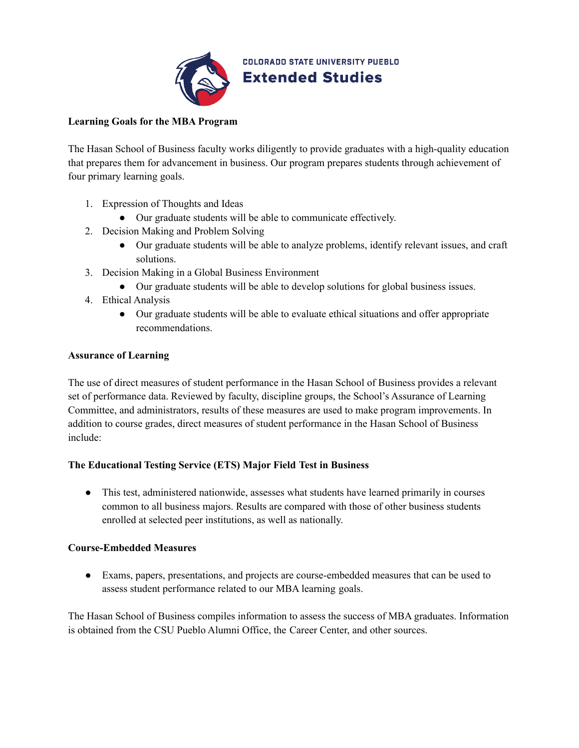

**COLORADO STATE UNIVERSITY PUEBLO Extended Studies** 

### **Learning Goals for the MBA Program**

The Hasan School of Business faculty works diligently to provide graduates with a high-quality education that prepares them for advancement in business. Our program prepares students through achievement of four primary learning goals.

- 1. Expression of Thoughts and Ideas
	- Our graduate students will be able to communicate effectively.
- 2. Decision Making and Problem Solving
	- Our graduate students will be able to analyze problems, identify relevant issues, and craft solutions.
- 3. Decision Making in a Global Business Environment
	- Our graduate students will be able to develop solutions for global business issues.
- 4. Ethical Analysis
	- Our graduate students will be able to evaluate ethical situations and offer appropriate recommendations.

#### **Assurance of Learning**

The use of direct measures of student performance in the Hasan School of Business provides a relevant set of performance data. Reviewed by faculty, discipline groups, the School's Assurance of Learning Committee, and administrators, results of these measures are used to make program improvements. In addition to course grades, direct measures of student performance in the Hasan School of Business include:

#### **The Educational Testing Service (ETS) Major Field Test in Business**

• This test, administered nationwide, assesses what students have learned primarily in courses common to all business majors. Results are compared with those of other business students enrolled at selected peer institutions, as well as nationally.

#### **Course-Embedded Measures**

● Exams, papers, presentations, and projects are course-embedded measures that can be used to assess student performance related to our MBA learning goals.

The Hasan School of Business compiles information to assess the success of MBA graduates. Information is obtained from the CSU Pueblo Alumni Office, the Career Center, and other sources.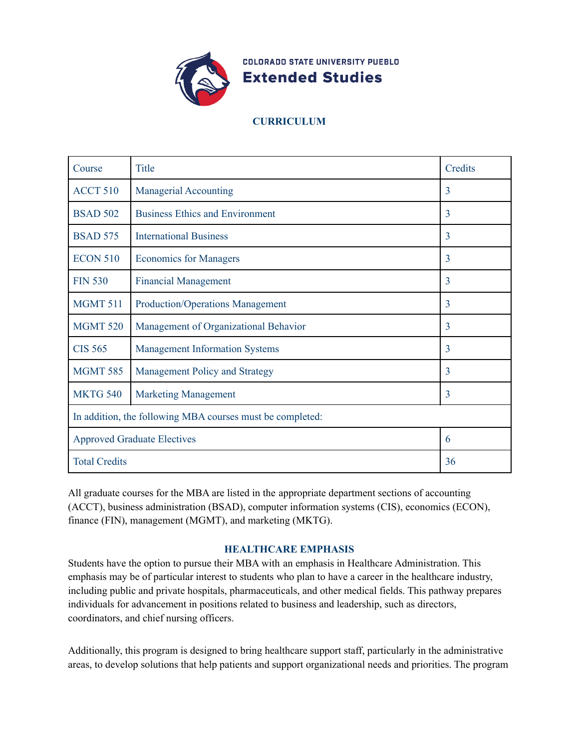

**COLORADO STATE UNIVERSITY PUEBLO Extended Studies** 

# **CURRICULUM**

| Course                                                    | <b>Title</b>                            | Credits        |  |
|-----------------------------------------------------------|-----------------------------------------|----------------|--|
| <b>ACCT 510</b>                                           | <b>Managerial Accounting</b>            | 3              |  |
| <b>BSAD 502</b>                                           | <b>Business Ethics and Environment</b>  | 3              |  |
| <b>BSAD 575</b>                                           | <b>International Business</b>           | 3              |  |
| <b>ECON 510</b>                                           | <b>Economics for Managers</b>           | 3              |  |
| <b>FIN 530</b>                                            | <b>Financial Management</b>             | 3              |  |
| <b>MGMT 511</b>                                           | <b>Production/Operations Management</b> | 3              |  |
| <b>MGMT 520</b>                                           | Management of Organizational Behavior   | $\overline{3}$ |  |
| <b>CIS 565</b>                                            | <b>Management Information Systems</b>   | 3              |  |
| <b>MGMT 585</b>                                           | Management Policy and Strategy          | 3              |  |
| <b>MKTG 540</b>                                           | <b>Marketing Management</b>             | 3              |  |
| In addition, the following MBA courses must be completed: |                                         |                |  |
| <b>Approved Graduate Electives</b>                        |                                         | 6              |  |
| <b>Total Credits</b>                                      |                                         | 36             |  |

All graduate courses for the MBA are listed in the appropriate department sections of accounting (ACCT), business administration (BSAD), computer information systems (CIS), economics (ECON), finance (FIN), management (MGMT), and marketing (MKTG).

#### **HEALTHCARE EMPHASIS**

Students have the option to pursue their MBA with an emphasis in Healthcare Administration. This emphasis may be of particular interest to students who plan to have a career in the healthcare industry, including public and private hospitals, pharmaceuticals, and other medical fields. This pathway prepares individuals for advancement in positions related to business and leadership, such as directors, coordinators, and chief nursing officers.

Additionally, this program is designed to bring healthcare support staff, particularly in the administrative areas, to develop solutions that help patients and support organizational needs and priorities. The program